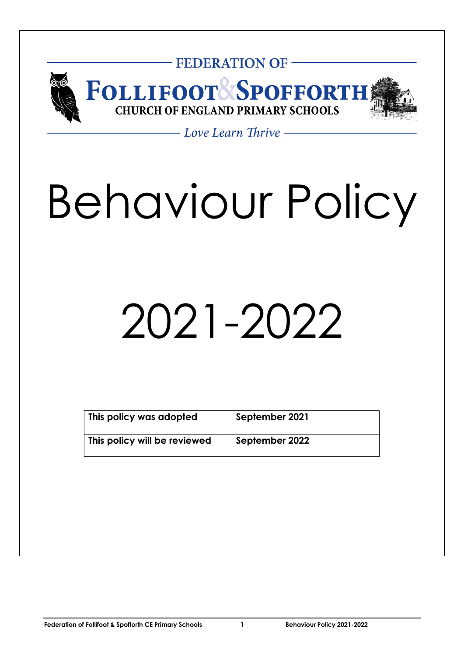

# - Love Learn Thrive -

# Behaviour Policy

# 2021-2022

| This policy was adopted      | September 2021 |
|------------------------------|----------------|
| This policy will be reviewed | September 2022 |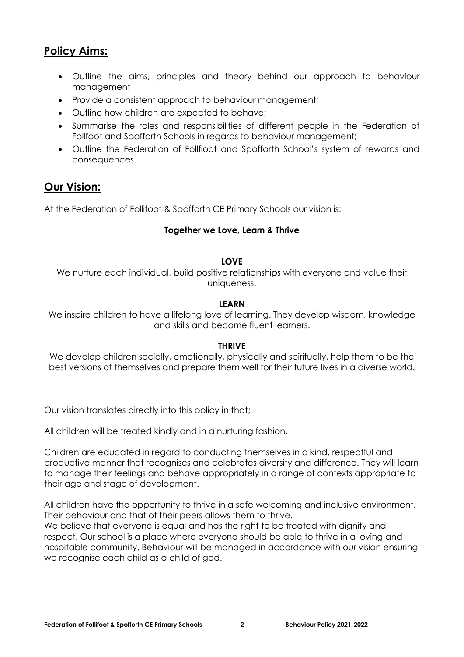# **Policy Aims:**

- Outline the aims, principles and theory behind our approach to behaviour management
- Provide a consistent approach to behaviour management;
- Outline how children are expected to behave;
- Summarise the roles and responsibilities of different people in the Federation of Follfoot and Spofforth Schools in regards to behaviour management;
- Outline the Federation of Follfioot and Spofforth School's system of rewards and consequences.

# **Our Vision:**

At the Federation of Follifoot & Spofforth CE Primary Schools our vision is:

#### **Together we Love, Learn & Thrive**

#### **LOVE**

We nurture each individual, build positive relationships with everyone and value their uniqueness.

#### **LEARN**

We inspire children to have a lifelong love of learning. They develop wisdom, knowledge and skills and become fluent learners.

#### **THRIVE**

We develop children socially, emotionally, physically and spiritually, help them to be the best versions of themselves and prepare them well for their future lives in a diverse world.

Our vision translates directly into this policy in that;

All children will be treated kindly and in a nurturing fashion.

Children are educated in regard to conducting themselves in a kind, respectful and productive manner that recognises and celebrates diversity and difference. They will learn to manage their feelings and behave appropriately in a range of contexts appropriate to their age and stage of development.

All children have the opportunity to thrive in a safe welcoming and inclusive environment. Their behaviour and that of their peers allows them to thrive.

We believe that everyone is equal and has the right to be treated with dignity and respect. Our school is a place where everyone should be able to thrive in a loving and hospitable community. Behaviour will be managed in accordance with our vision ensuring we recognise each child as a child of god.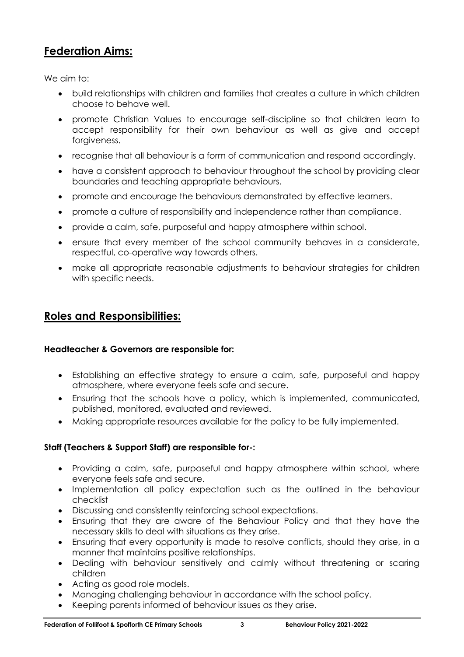# **Federation Aims:**

We aim to:

- build relationships with children and families that creates a culture in which children choose to behave well.
- promote Christian Values to encourage self-discipline so that children learn to accept responsibility for their own behaviour as well as give and accept forgiveness.
- recognise that all behaviour is a form of communication and respond accordingly.
- have a consistent approach to behaviour throughout the school by providing clear boundaries and teaching appropriate behaviours.
- promote and encourage the behaviours demonstrated by effective learners.
- promote a culture of responsibility and independence rather than compliance.
- provide a calm, safe, purposeful and happy atmosphere within school.
- ensure that every member of the school community behaves in a considerate, respectful, co-operative way towards others.
- make all appropriate reasonable adjustments to behaviour strategies for children with specific needs.

## **Roles and Responsibilities:**

#### **Headteacher & Governors are responsible for:**

- Establishing an effective strategy to ensure a calm, safe, purposeful and happy atmosphere, where everyone feels safe and secure.
- Ensuring that the schools have a policy, which is implemented, communicated, published, monitored, evaluated and reviewed.
- Making appropriate resources available for the policy to be fully implemented.

#### **Staff (Teachers & Support Staff) are responsible for-:**

- Providing a calm, safe, purposeful and happy atmosphere within school, where everyone feels safe and secure.
- Implementation all policy expectation such as the outlined in the behaviour checklist
- Discussing and consistently reinforcing school expectations.
- Ensuring that they are aware of the Behaviour Policy and that they have the necessary skills to deal with situations as they arise.
- Ensuring that every opportunity is made to resolve conflicts, should they arise, in a manner that maintains positive relationships.
- Dealing with behaviour sensitively and calmly without threatening or scaring children
- Acting as good role models.
- Managing challenging behaviour in accordance with the school policy.
- Keeping parents informed of behaviour issues as they arise.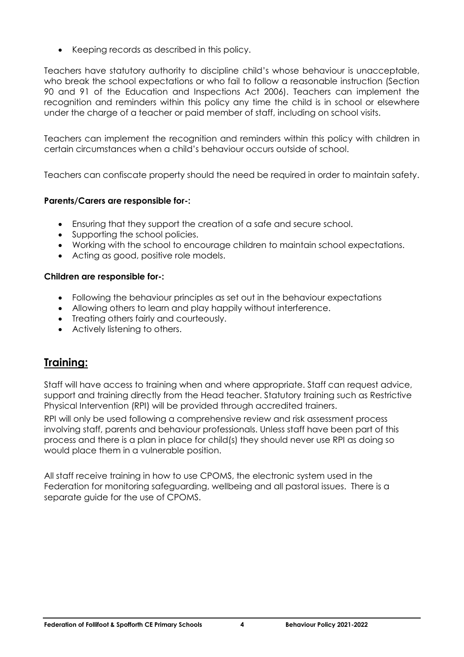• Keeping records as described in this policy.

Teachers have statutory authority to discipline child's whose behaviour is unacceptable, who break the school expectations or who fail to follow a reasonable instruction (Section 90 and 91 of the Education and Inspections Act 2006). Teachers can implement the recognition and reminders within this policy any time the child is in school or elsewhere under the charge of a teacher or paid member of staff, including on school visits.

Teachers can implement the recognition and reminders within this policy with children in certain circumstances when a child's behaviour occurs outside of school.

Teachers can confiscate property should the need be required in order to maintain safety.

#### **Parents/Carers are responsible for-:**

- Ensuring that they support the creation of a safe and secure school.
- Supporting the school policies.
- Working with the school to encourage children to maintain school expectations.
- Acting as good, positive role models.

#### **Children are responsible for-:**

- Following the behaviour principles as set out in the behaviour expectations
- Allowing others to learn and play happily without interference.
- Treating others fairly and courteously.
- Actively listening to others.

# **Training:**

Staff will have access to training when and where appropriate. Staff can request advice, support and training directly from the Head teacher. Statutory training such as Restrictive Physical Intervention (RPI) will be provided through accredited trainers.

RPI will only be used following a comprehensive review and risk assessment process involving staff, parents and behaviour professionals. Unless staff have been part of this process and there is a plan in place for child(s) they should never use RPI as doing so would place them in a vulnerable position.

All staff receive training in how to use CPOMS, the electronic system used in the Federation for monitoring safeguarding, wellbeing and all pastoral issues. There is a separate guide for the use of CPOMS.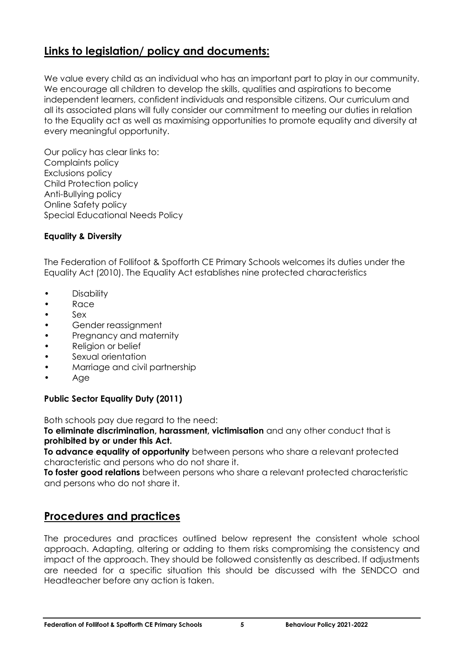# **Links to legislation/ policy and documents:**

We value every child as an individual who has an important part to play in our community. We encourage all children to develop the skills, qualities and aspirations to become independent learners, confident individuals and responsible citizens. Our curriculum and all its associated plans will fully consider our commitment to meeting our duties in relation to the Equality act as well as maximising opportunities to promote equality and diversity at every meaningful opportunity.

Our policy has clear links to: Complaints policy Exclusions policy Child Protection policy Anti-Bullying policy Online Safety policy Special Educational Needs Policy

#### **Equality & Diversity**

The Federation of Follifoot & Spofforth CE Primary Schools welcomes its duties under the Equality Act (2010). The Equality Act establishes nine protected characteristics

- **Disability**
- Race
- Sex
- Gender reassignment
- Pregnancy and maternity
- Religion or belief
- Sexual orientation
- Marriage and civil partnership
- Age

#### **Public Sector Equality Duty (2011)**

Both schools pay due regard to the need:

**To eliminate discrimination, harassment, victimisation** and any other conduct that is **prohibited by or under this Act.**

**To advance equality of opportunity** between persons who share a relevant protected characteristic and persons who do not share it.

**To foster good relations** between persons who share a relevant protected characteristic and persons who do not share it.

# **Procedures and practices**

The procedures and practices outlined below represent the consistent whole school approach. Adapting, altering or adding to them risks compromising the consistency and impact of the approach. They should be followed consistently as described. If adjustments are needed for a specific situation this should be discussed with the SENDCO and Headteacher before any action is taken.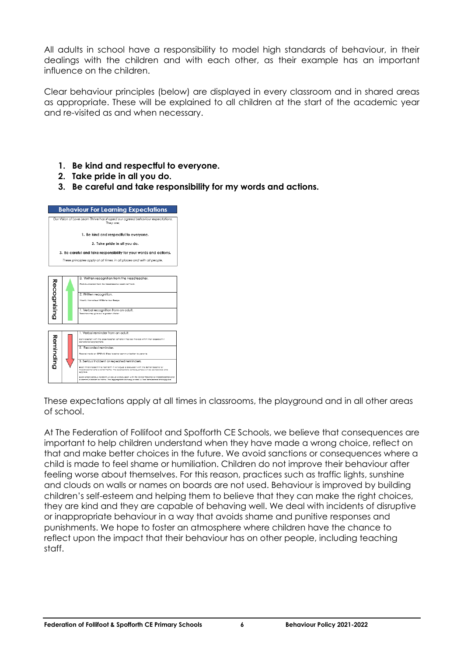All adults in school have a responsibility to model high standards of behaviour, in their dealings with the children and with each other, as their example has an important influence on the children.

Clear behaviour principles (below) are displayed in every classroom and in shared areas as appropriate. These will be explained to all children at the start of the academic year and re-visited as and when necessary.

- **1. Be kind and respectful to everyone.**
- **2. Take pride in all you do.**
- **3. Be careful and take responsibility for my words and actions.**

| <b>Behaviour For Learning Expectations</b>                                                 |                                                                                                                                                                                                                                                                                                                                                                                                                                                                                                                                                                                                                                                                                        |  |  |  |
|--------------------------------------------------------------------------------------------|----------------------------------------------------------------------------------------------------------------------------------------------------------------------------------------------------------------------------------------------------------------------------------------------------------------------------------------------------------------------------------------------------------------------------------------------------------------------------------------------------------------------------------------------------------------------------------------------------------------------------------------------------------------------------------------|--|--|--|
| Our Vision of Love Learn Thrive has shaped our agreed behaviour expectations.<br>They are: |                                                                                                                                                                                                                                                                                                                                                                                                                                                                                                                                                                                                                                                                                        |  |  |  |
| 1. Be kind and respectful to everyone.                                                     |                                                                                                                                                                                                                                                                                                                                                                                                                                                                                                                                                                                                                                                                                        |  |  |  |
| 2. Take pride in all you do.                                                               |                                                                                                                                                                                                                                                                                                                                                                                                                                                                                                                                                                                                                                                                                        |  |  |  |
| 3. Be careful and take responsibility for your words and actions.                          |                                                                                                                                                                                                                                                                                                                                                                                                                                                                                                                                                                                                                                                                                        |  |  |  |
|                                                                                            | These principles apply at all times, in all places and with all people.                                                                                                                                                                                                                                                                                                                                                                                                                                                                                                                                                                                                                |  |  |  |
|                                                                                            |                                                                                                                                                                                                                                                                                                                                                                                                                                                                                                                                                                                                                                                                                        |  |  |  |
| Recognising                                                                                | 3. Written recognition from the Headteacher.<br>Communication from the Headleacher coch half form.<br>2. Written recognition.<br>Weekly Marvelleus MS Schovieur Sodge<br>1. Verbal recognition from an adult.<br>Teachers may alve out a polden sticker                                                                                                                                                                                                                                                                                                                                                                                                                                |  |  |  |
| Reminding                                                                                  | 1. Verbal reminder from an adult.<br>Converseñon with the class teacher. Children may be moved within their classroom if<br>considered oppropriate.<br>2. Recorded reminder.<br>Record mode on CPDMJ. Class teacher communication to parents.<br>3. Serious incident or repeated reminders.<br>Every third incident in a half term in will equal a discussion with the Senior teacher or<br>Headlescher and a letter hame. The appropriate consequences will be considered and<br>popled.<br>Prenr single serious incident will caugi a discussion with the Senior Teocher or Headfoocher and<br>a communication to home. The appropriate consequences will be considered and applied. |  |  |  |

These expectations apply at all times in classrooms, the playground and in all other areas of school.

At The Federation of Follifoot and Spofforth CE Schools, we believe that consequences are important to help children understand when they have made a wrong choice, reflect on that and make better choices in the future. We avoid sanctions or consequences where a child is made to feel shame or humiliation. Children do not improve their behaviour after feeling worse about themselves. For this reason, practices such as traffic lights, sunshine and clouds on walls or names on boards are not used. Behaviour is improved by building children's self-esteem and helping them to believe that they can make the right choices, they are kind and they are capable of behaving well. We deal with incidents of disruptive or inappropriate behaviour in a way that avoids shame and punitive responses and punishments. We hope to foster an atmosphere where children have the chance to reflect upon the impact that their behaviour has on other people, including teaching staff.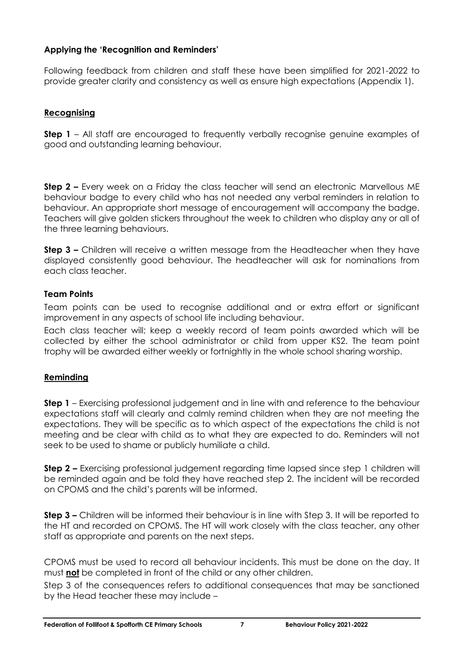#### **Applying the 'Recognition and Reminders'**

Following feedback from children and staff these have been simplified for 2021-2022 to provide greater clarity and consistency as well as ensure high expectations (Appendix 1).

#### **Recognising**

**Step 1** – All staff are encouraged to frequently verbally recognise genuine examples of good and outstanding learning behaviour.

**Step 2 –** Every week on a Friday the class teacher will send an electronic Marvellous ME behaviour badge to every child who has not needed any verbal reminders in relation to behaviour. An appropriate short message of encouragement will accompany the badge. Teachers will give golden stickers throughout the week to children who display any or all of the three learning behaviours.

**Step 3 –** Children will receive a written message from the Headteacher when they have displayed consistently good behaviour. The headteacher will ask for nominations from each class teacher.

#### **Team Points**

Team points can be used to recognise additional and or extra effort or significant improvement in any aspects of school life including behaviour.

Each class teacher will; keep a weekly record of team points awarded which will be collected by either the school administrator or child from upper KS2. The team point trophy will be awarded either weekly or fortnightly in the whole school sharing worship.

#### **Reminding**

**Step 1** – Exercising professional judgement and in line with and reference to the behaviour expectations staff will clearly and calmly remind children when they are not meeting the expectations. They will be specific as to which aspect of the expectations the child is not meeting and be clear with child as to what they are expected to do. Reminders will not seek to be used to shame or publicly humiliate a child.

**Step 2 –** Exercising professional judgement regarding time lapsed since step 1 children will be reminded again and be told they have reached step 2. The incident will be recorded on CPOMS and the child's parents will be informed.

**Step 3 –** Children will be informed their behaviour is in line with Step 3. It will be reported to the HT and recorded on CPOMS. The HT will work closely with the class teacher, any other staff as appropriate and parents on the next steps.

CPOMS must be used to record all behaviour incidents. This must be done on the day. It must **not** be completed in front of the child or any other children.

Step 3 of the consequences refers to additional consequences that may be sanctioned by the Head teacher these may include –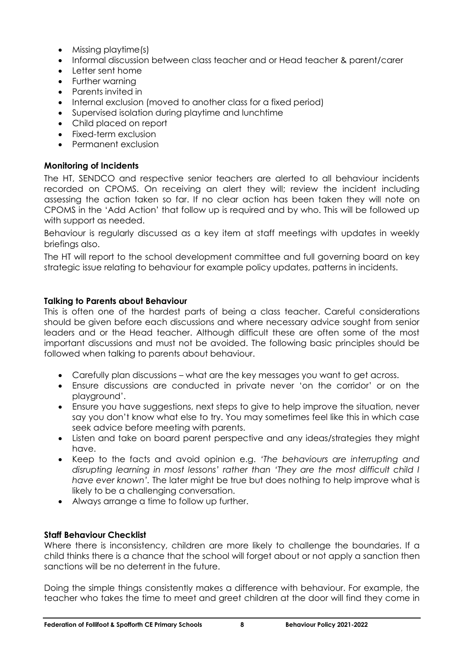- Missing playtime(s)
- Informal discussion between class teacher and or Head teacher & parent/carer
- Letter sent home
- Further warning
- Parents invited in
- Internal exclusion (moved to another class for a fixed period)
- Supervised isolation during playtime and lunchtime
- Child placed on report
- Fixed-term exclusion
- Permanent exclusion

#### **Monitoring of Incidents**

The HT, SENDCO and respective senior teachers are alerted to all behaviour incidents recorded on CPOMS. On receiving an alert they will; review the incident including assessing the action taken so far. If no clear action has been taken they will note on CPOMS in the 'Add Action' that follow up is required and by who. This will be followed up with support as needed.

Behaviour is regularly discussed as a key item at staff meetings with updates in weekly briefings also.

The HT will report to the school development committee and full governing board on key strategic issue relating to behaviour for example policy updates, patterns in incidents.

#### **Talking to Parents about Behaviour**

This is often one of the hardest parts of being a class teacher. Careful considerations should be given before each discussions and where necessary advice sought from senior leaders and or the Head teacher. Although difficult these are often some of the most important discussions and must not be avoided. The following basic principles should be followed when talking to parents about behaviour.

- Carefully plan discussions what are the key messages you want to get across.
- Ensure discussions are conducted in private never 'on the corridor' or on the playground'.
- Ensure you have suggestions, next steps to give to help improve the situation, never say you don't know what else to try. You may sometimes feel like this in which case seek advice before meeting with parents.
- Listen and take on board parent perspective and any ideas/strategies they might have.
- Keep to the facts and avoid opinion e.g. *'The behaviours are interrupting and disrupting learning in most lessons' rather than 'They are the most difficult child I have ever known'.* The later might be true but does nothing to help improve what is likely to be a challenging conversation.
- Always arrange a time to follow up further.

#### **Staff Behaviour Checklist**

Where there is inconsistency, children are more likely to challenge the boundaries. If a child thinks there is a chance that the school will forget about or not apply a sanction then sanctions will be no deterrent in the future.

Doing the simple things consistently makes a difference with behaviour. For example, the teacher who takes the time to meet and greet children at the door will find they come in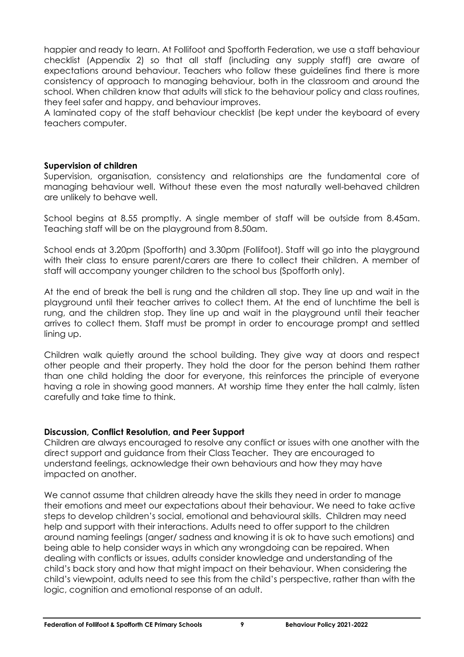happier and ready to learn. At Follifoot and Spofforth Federation, we use a staff behaviour checklist (Appendix 2) so that all staff (including any supply staff) are aware of expectations around behaviour. Teachers who follow these guidelines find there is more consistency of approach to managing behaviour, both in the classroom and around the school. When children know that adults will stick to the behaviour policy and class routines, they feel safer and happy, and behaviour improves.

A laminated copy of the staff behaviour checklist (be kept under the keyboard of every teachers computer.

#### **Supervision of children**

Supervision, organisation, consistency and relationships are the fundamental core of managing behaviour well. Without these even the most naturally well-behaved children are unlikely to behave well.

School begins at 8.55 promptly. A single member of staff will be outside from 8.45am. Teaching staff will be on the playground from 8.50am.

School ends at 3.20pm (Spofforth) and 3.30pm (Follifoot). Staff will go into the playground with their class to ensure parent/carers are there to collect their children. A member of staff will accompany younger children to the school bus (Spofforth only).

At the end of break the bell is rung and the children all stop. They line up and wait in the playground until their teacher arrives to collect them. At the end of lunchtime the bell is rung, and the children stop. They line up and wait in the playground until their teacher arrives to collect them. Staff must be prompt in order to encourage prompt and settled lining up.

Children walk quietly around the school building. They give way at doors and respect other people and their property. They hold the door for the person behind them rather than one child holding the door for everyone, this reinforces the principle of everyone having a role in showing good manners. At worship time they enter the hall calmly, listen carefully and take time to think.

#### **Discussion, Conflict Resolution, and Peer Support**

Children are always encouraged to resolve any conflict or issues with one another with the direct support and guidance from their Class Teacher. They are encouraged to understand feelings, acknowledge their own behaviours and how they may have impacted on another.

We cannot assume that children already have the skills they need in order to manage their emotions and meet our expectations about their behaviour. We need to take active steps to develop children's social, emotional and behavioural skills. Children may need help and support with their interactions. Adults need to offer support to the children around naming feelings (anger/ sadness and knowing it is ok to have such emotions) and being able to help consider ways in which any wrongdoing can be repaired. When dealing with conflicts or issues, adults consider knowledge and understanding of the child's back story and how that might impact on their behaviour. When considering the child's viewpoint, adults need to see this from the child's perspective, rather than with the logic, cognition and emotional response of an adult.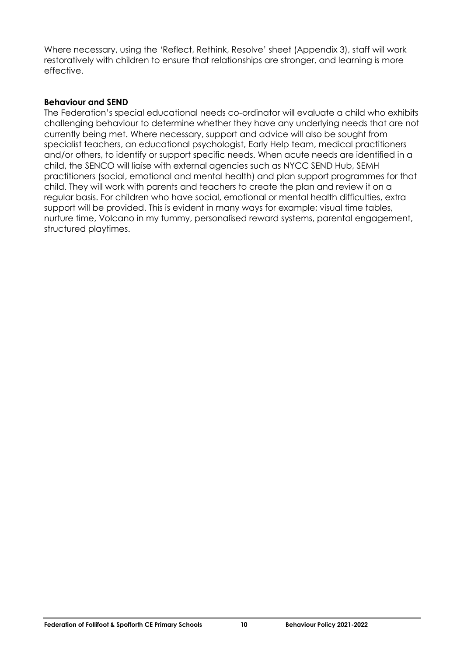Where necessary, using the 'Reflect, Rethink, Resolve' sheet (Appendix 3), staff will work restoratively with children to ensure that relationships are stronger, and learning is more effective.

#### **Behaviour and SEND**

The Federation's special educational needs co-ordinator will evaluate a child who exhibits challenging behaviour to determine whether they have any underlying needs that are not currently being met. Where necessary, support and advice will also be sought from specialist teachers, an educational psychologist, Early Help team, medical practitioners and/or others, to identify or support specific needs. When acute needs are identified in a child, the SENCO will liaise with external agencies such as NYCC SEND Hub, SEMH practitioners (social, emotional and mental health) and plan support programmes for that child. They will work with parents and teachers to create the plan and review it on a regular basis. For children who have social, emotional or mental health difficulties, extra support will be provided. This is evident in many ways for example; visual time tables, nurture time, Volcano in my tummy, personalised reward systems, parental engagement, structured playtimes.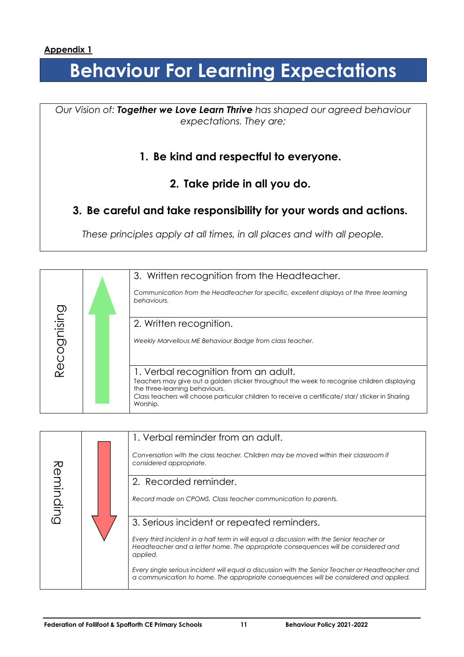# **Behaviour For Learning Expectations**

*Our Vision of: Together we Love Learn Thrive has shaped our agreed behaviour expectations. They are;*

## **1. Be kind and respectful to everyone.**

**2. Take pride in all you do.**

## **3. Be careful and take responsibility for your words and actions.**

*These principles apply at all times, in all places and with all people.*

|            | 3. Written recognition from the Headteacher.                                                                                                                                                                                                                                           |
|------------|----------------------------------------------------------------------------------------------------------------------------------------------------------------------------------------------------------------------------------------------------------------------------------------|
|            | Communication from the Headteacher for specific, excellent displays of the three learning<br>behaviours.                                                                                                                                                                               |
|            | 2. Written recognition.                                                                                                                                                                                                                                                                |
| ecognising | Weekly Marvellous ME Behaviour Badge from class teacher.                                                                                                                                                                                                                               |
|            | 1. Verbal recognition from an adult.<br>Teachers may give out a golden sticker throughout the week to recognise children displaying<br>the three-learning behaviours.<br>Class teachers will choose particular children to receive a certificate/ star/ sticker in Sharing<br>Worship. |
|            |                                                                                                                                                                                                                                                                                        |

|           | 1. Verbal reminder from an adult.                                                                                                                                                           |
|-----------|---------------------------------------------------------------------------------------------------------------------------------------------------------------------------------------------|
|           | Conversation with the class teacher. Children may be moved within their classroom if<br>considered appropriate.                                                                             |
|           | 2. Recorded reminder.                                                                                                                                                                       |
| Reminding | Record made on CPOMS. Class teacher communication to parents.                                                                                                                               |
|           | 3. Serious incident or repeated reminders.                                                                                                                                                  |
|           | Every third incident in a half term in will equal a discussion with the Senior teacher or<br>Headteacher and a letter home. The appropriate consequences will be considered and<br>applied. |
|           | Every single serious incident will equal a discussion with the Senior Teacher or Headteacher and<br>a communication to home. The appropriate consequences will be considered and applied.   |
|           |                                                                                                                                                                                             |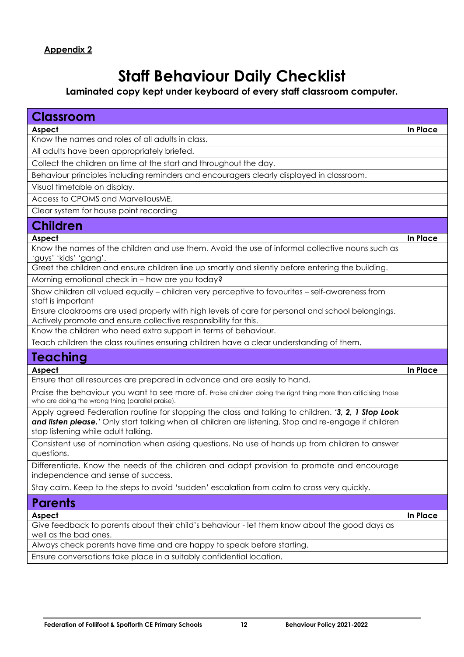# **Staff Behaviour Daily Checklist**

### **Laminated copy kept under keyboard of every staff classroom computer.**

| <b>Classroom</b>                                                                                                                                                                                                                                    |          |
|-----------------------------------------------------------------------------------------------------------------------------------------------------------------------------------------------------------------------------------------------------|----------|
| Aspect                                                                                                                                                                                                                                              | In Place |
| Know the names and roles of all adults in class.                                                                                                                                                                                                    |          |
| All adults have been appropriately briefed.                                                                                                                                                                                                         |          |
| Collect the children on time at the start and throughout the day.                                                                                                                                                                                   |          |
| Behaviour principles including reminders and encouragers clearly displayed in classroom.                                                                                                                                                            |          |
| Visual timetable on display.                                                                                                                                                                                                                        |          |
| Access to CPOMS and MarvellousME.                                                                                                                                                                                                                   |          |
| Clear system for house point recording                                                                                                                                                                                                              |          |
| <b>Children</b>                                                                                                                                                                                                                                     |          |
| Aspect                                                                                                                                                                                                                                              | In Place |
| Know the names of the children and use them. Avoid the use of informal collective nouns such as<br>'guys' 'kids' 'gang'.                                                                                                                            |          |
| Greet the children and ensure children line up smartly and silently before entering the building.                                                                                                                                                   |          |
| Morning emotional check in - how are you today?                                                                                                                                                                                                     |          |
| Show children all valued equally - children very perceptive to favourites - self-awareness from<br>staff is important                                                                                                                               |          |
| Ensure cloakrooms are used properly with high levels of care for personal and school belongings.<br>Actively promote and ensure collective responsibility for this.                                                                                 |          |
| Know the children who need extra support in terms of behaviour.                                                                                                                                                                                     |          |
| Teach children the class routines ensuring children have a clear understanding of them.                                                                                                                                                             |          |
| <b>Teaching</b>                                                                                                                                                                                                                                     |          |
| Aspect                                                                                                                                                                                                                                              | In Place |
| Ensure that all resources are prepared in advance and are easily to hand.                                                                                                                                                                           |          |
| Praise the behaviour you want to see more of. Praise children doing the right thing more than criticising those<br>who are doing the wrong thing (parallel praise).                                                                                 |          |
| Apply agreed Federation routine for stopping the class and talking to children. '3, 2, 1 Stop Look<br>and listen please.' Only start talking when all children are listening. Stop and re-engage if children<br>stop listening while adult talking. |          |
| Consistent use of nomination when asking questions. No use of hands up from children to answer<br>questions.                                                                                                                                        |          |
| Differentiate. Know the needs of the children and adapt provision to promote and encourage<br>independence and sense of success.                                                                                                                    |          |
| Stay calm. Keep to the steps to avoid 'sudden' escalation from calm to cross very quickly.                                                                                                                                                          |          |
| <b>Parents</b>                                                                                                                                                                                                                                      |          |
| Aspect                                                                                                                                                                                                                                              | In Place |
| Give feedback to parents about their child's behaviour - let them know about the good days as<br>well as the bad ones.                                                                                                                              |          |
| Always check parents have time and are happy to speak before starting.                                                                                                                                                                              |          |
| Ensure conversations take place in a suitably confidential location.                                                                                                                                                                                |          |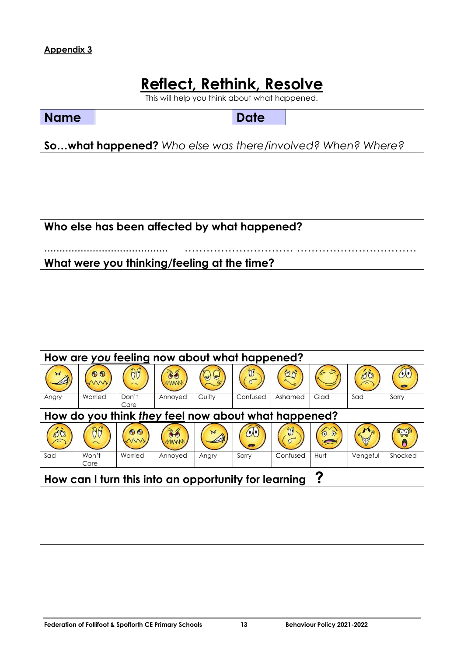# **Reflect, Rethink, Resolve**

This will help you think about what happened.

**Name** Date

**So…what happened?** *Who else was there/involved? When? Where?*

**Who else has been affected by what happened?**

### ......................................... ………………………… …………………………… **What were you thinking/feeling at the time?**

#### **How are** *you* **feeling now about what happened?**



# **How can I turn this into an opportunity for learning ?**